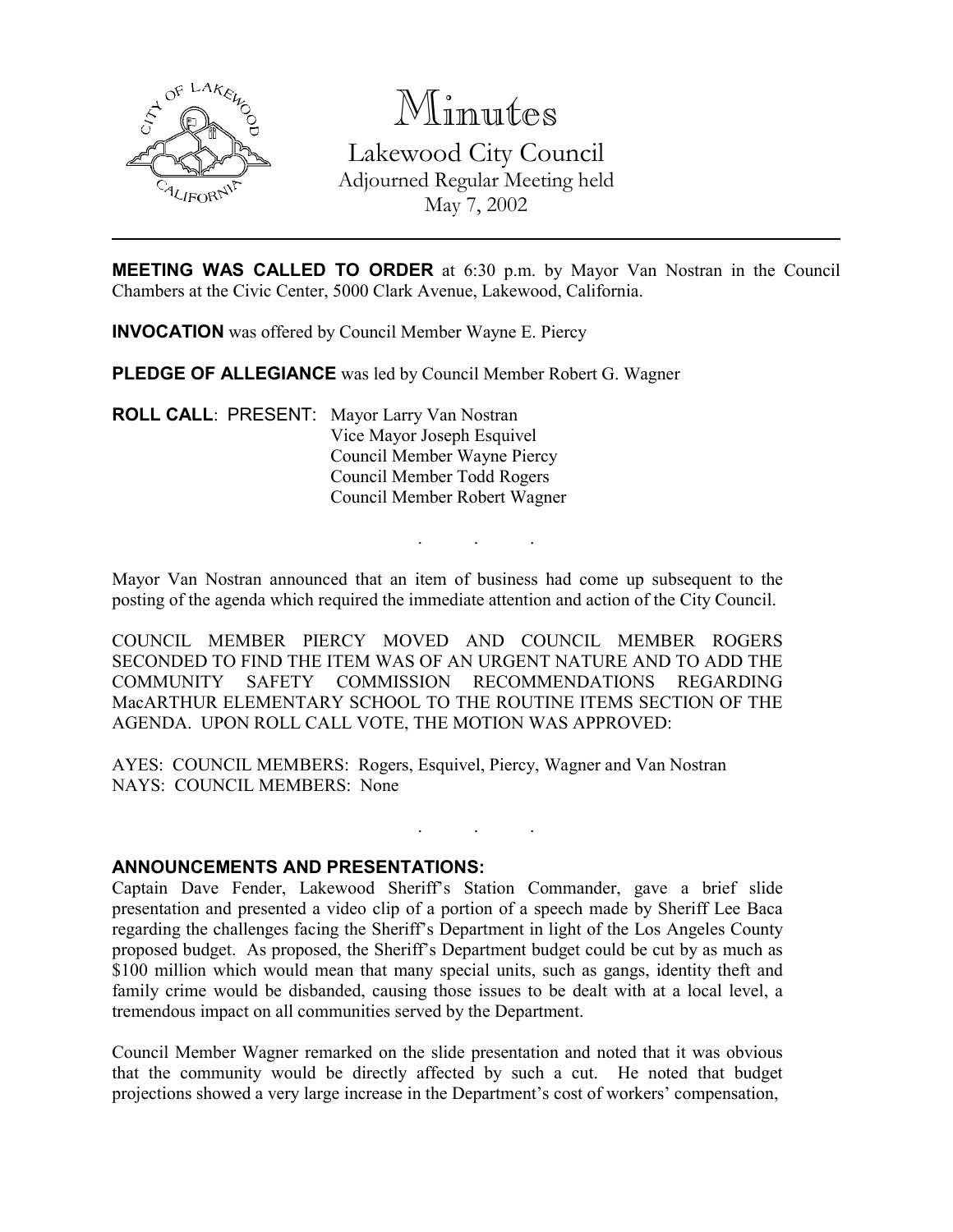

# Minutes

Lakewood City Council Adjourned Regular Meeting held May 7, 2002

MEETING WAS CALLED TO ORDER at 6:30 p.m. by Mayor Van Nostran in the Council Chambers at the Civic Center, 5000 Clark Avenue, Lakewood, California.

INVOCATION was offered by Council Member Wayne E. Piercy

PLEDGE OF ALLEGIANCE was led by Council Member Robert G. Wagner

ROLL CALL: PRESENT: Mayor Larry Van Nostran Vice Mayor Joseph Esquivel Council Member Wayne Piercy Council Member Todd Rogers Council Member Robert Wagner

Mayor Van Nostran announced that an item of business had come up subsequent to the posting of the agenda which required the immediate attention and action of the City Council.

. . .

COUNCIL MEMBER PIERCY MOVED AND COUNCIL MEMBER ROGERS SECONDED TO FIND THE ITEM WAS OF AN URGENT NATURE AND TO ADD THE COMMUNITY SAFETY COMMISSION RECOMMENDATIONS REGARDING MacARTHUR ELEMENTARY SCHOOL TO THE ROUTINE ITEMS SECTION OF THE AGENDA. UPON ROLL CALL VOTE, THE MOTION WAS APPROVED:

AYES: COUNCIL MEMBERS: Rogers, Esquivel, Piercy, Wagner and Van Nostran NAYS: COUNCIL MEMBERS: None

### ANNOUNCEMENTS AND PRESENTATIONS:

Captain Dave Fender, Lakewood Sheriff's Station Commander, gave a brief slide presentation and presented a video clip of a portion of a speech made by Sheriff Lee Baca regarding the challenges facing the Sheriff's Department in light of the Los Angeles County proposed budget. As proposed, the Sheriff's Department budget could be cut by as much as \$100 million which would mean that many special units, such as gangs, identity theft and family crime would be disbanded, causing those issues to be dealt with at a local level, a tremendous impact on all communities served by the Department.

. . .

Council Member Wagner remarked on the slide presentation and noted that it was obvious that the community would be directly affected by such a cut. He noted that budget projections showed a very large increase in the Department's cost of workers' compensation,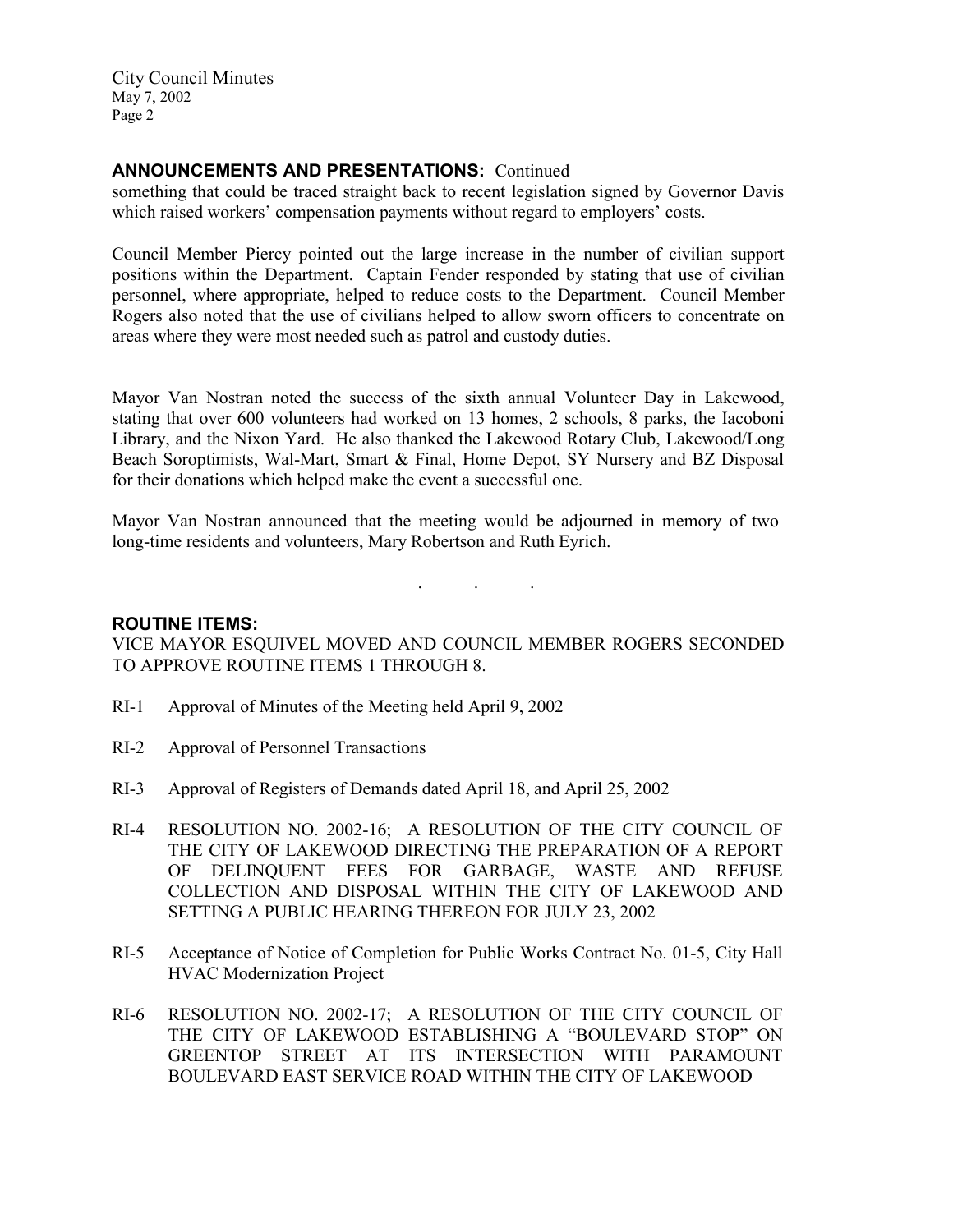## ANNOUNCEMENTS AND PRESENTATIONS: Continued

something that could be traced straight back to recent legislation signed by Governor Davis which raised workers' compensation payments without regard to employers' costs.

Council Member Piercy pointed out the large increase in the number of civilian support positions within the Department. Captain Fender responded by stating that use of civilian personnel, where appropriate, helped to reduce costs to the Department. Council Member Rogers also noted that the use of civilians helped to allow sworn officers to concentrate on areas where they were most needed such as patrol and custody duties.

Mayor Van Nostran noted the success of the sixth annual Volunteer Day in Lakewood, stating that over 600 volunteers had worked on 13 homes, 2 schools, 8 parks, the Iacoboni Library, and the Nixon Yard. He also thanked the Lakewood Rotary Club, Lakewood/Long Beach Soroptimists, Wal-Mart, Smart & Final, Home Depot, SY Nursery and BZ Disposal for their donations which helped make the event a successful one.

Mayor Van Nostran announced that the meeting would be adjourned in memory of two long-time residents and volunteers, Mary Robertson and Ruth Eyrich.

. . .

## ROUTINE ITEMS:

VICE MAYOR ESQUIVEL MOVED AND COUNCIL MEMBER ROGERS SECONDED TO APPROVE ROUTINE ITEMS 1 THROUGH 8.

- RI-1 Approval of Minutes of the Meeting held April 9, 2002
- RI-2 Approval of Personnel Transactions
- RI-3 Approval of Registers of Demands dated April 18, and April 25, 2002
- RI-4 RESOLUTION NO. 2002-16; A RESOLUTION OF THE CITY COUNCIL OF THE CITY OF LAKEWOOD DIRECTING THE PREPARATION OF A REPORT OF DELINQUENT FEES FOR GARBAGE, WASTE AND REFUSE COLLECTION AND DISPOSAL WITHIN THE CITY OF LAKEWOOD AND SETTING A PUBLIC HEARING THEREON FOR JULY 23, 2002
- RI-5 Acceptance of Notice of Completion for Public Works Contract No. 01-5, City Hall HVAC Modernization Project
- RI-6 RESOLUTION NO. 2002-17; A RESOLUTION OF THE CITY COUNCIL OF THE CITY OF LAKEWOOD ESTABLISHING A "BOULEVARD STOP" ON GREENTOP STREET AT ITS INTERSECTION WITH PARAMOUNT BOULEVARD EAST SERVICE ROAD WITHIN THE CITY OF LAKEWOOD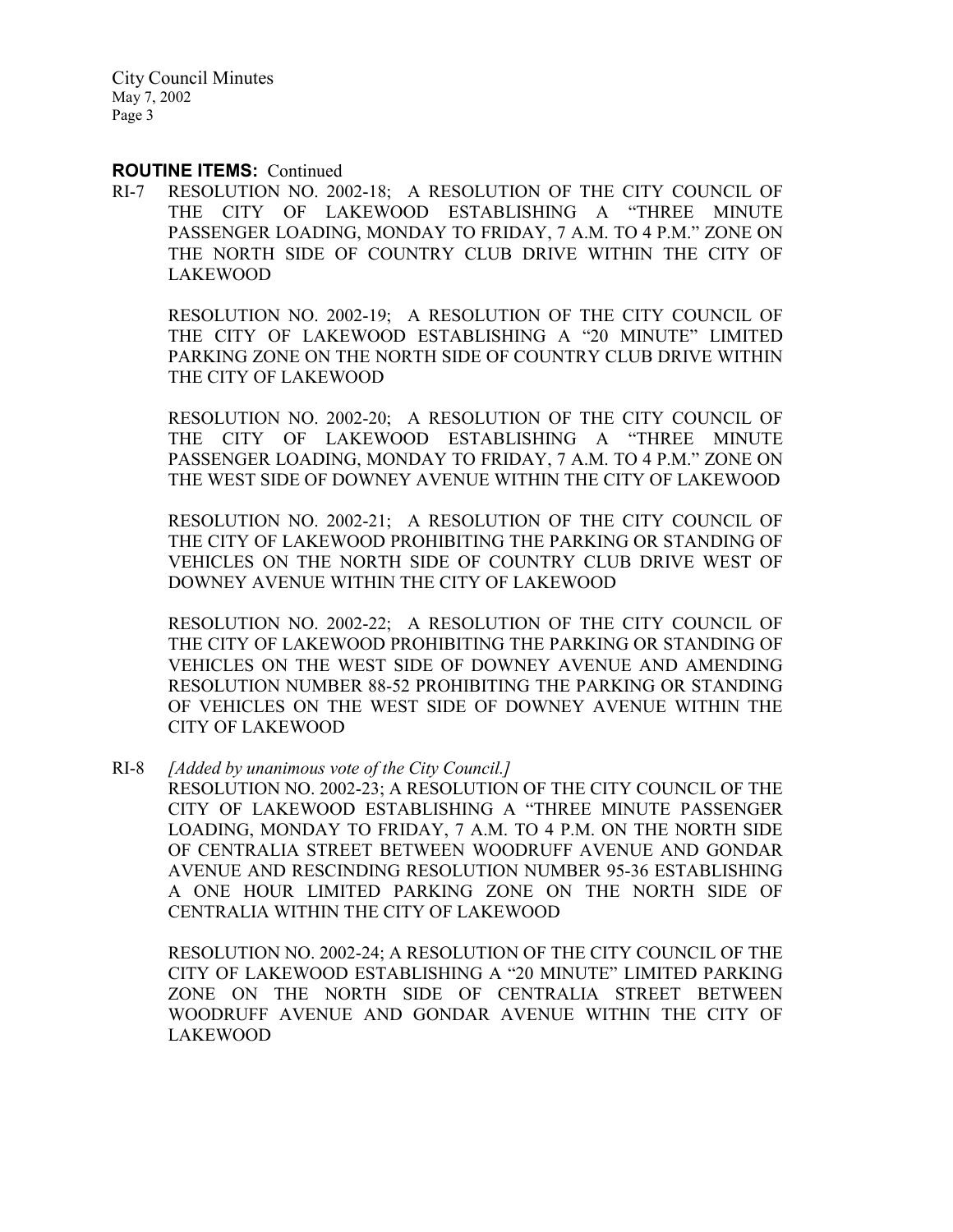#### ROUTINE ITEMS: Continued

RI-7 RESOLUTION NO. 2002-18; A RESOLUTION OF THE CITY COUNCIL OF THE CITY OF LAKEWOOD ESTABLISHING A "THREE MINUTE PASSENGER LOADING, MONDAY TO FRIDAY, 7 A.M. TO 4 P.M." ZONE ON THE NORTH SIDE OF COUNTRY CLUB DRIVE WITHIN THE CITY OF LAKEWOOD

RESOLUTION NO. 2002-19; A RESOLUTION OF THE CITY COUNCIL OF THE CITY OF LAKEWOOD ESTABLISHING A "20 MINUTE" LIMITED PARKING ZONE ON THE NORTH SIDE OF COUNTRY CLUB DRIVE WITHIN THE CITY OF LAKEWOOD

RESOLUTION NO. 2002-20; A RESOLUTION OF THE CITY COUNCIL OF THE CITY OF LAKEWOOD ESTABLISHING A "THREE MINUTE PASSENGER LOADING, MONDAY TO FRIDAY, 7 A.M. TO 4 P.M." ZONE ON THE WEST SIDE OF DOWNEY AVENUE WITHIN THE CITY OF LAKEWOOD

RESOLUTION NO. 2002-21; A RESOLUTION OF THE CITY COUNCIL OF THE CITY OF LAKEWOOD PROHIBITING THE PARKING OR STANDING OF VEHICLES ON THE NORTH SIDE OF COUNTRY CLUB DRIVE WEST OF DOWNEY AVENUE WITHIN THE CITY OF LAKEWOOD

RESOLUTION NO. 2002-22; A RESOLUTION OF THE CITY COUNCIL OF THE CITY OF LAKEWOOD PROHIBITING THE PARKING OR STANDING OF VEHICLES ON THE WEST SIDE OF DOWNEY AVENUE AND AMENDING RESOLUTION NUMBER 88-52 PROHIBITING THE PARKING OR STANDING OF VEHICLES ON THE WEST SIDE OF DOWNEY AVENUE WITHIN THE CITY OF LAKEWOOD

RI-8 *[Added by unanimous vote of the City Council.]*

RESOLUTION NO. 2002-23; A RESOLUTION OF THE CITY COUNCIL OF THE CITY OF LAKEWOOD ESTABLISHING A "THREE MINUTE PASSENGER LOADING, MONDAY TO FRIDAY, 7 A.M. TO 4 P.M. ON THE NORTH SIDE OF CENTRALIA STREET BETWEEN WOODRUFF AVENUE AND GONDAR AVENUE AND RESCINDING RESOLUTION NUMBER 95-36 ESTABLISHING A ONE HOUR LIMITED PARKING ZONE ON THE NORTH SIDE OF CENTRALIA WITHIN THE CITY OF LAKEWOOD

RESOLUTION NO. 2002-24; A RESOLUTION OF THE CITY COUNCIL OF THE CITY OF LAKEWOOD ESTABLISHING A "20 MINUTE" LIMITED PARKING ZONE ON THE NORTH SIDE OF CENTRALIA STREET BETWEEN WOODRUFF AVENUE AND GONDAR AVENUE WITHIN THE CITY OF LAKEWOOD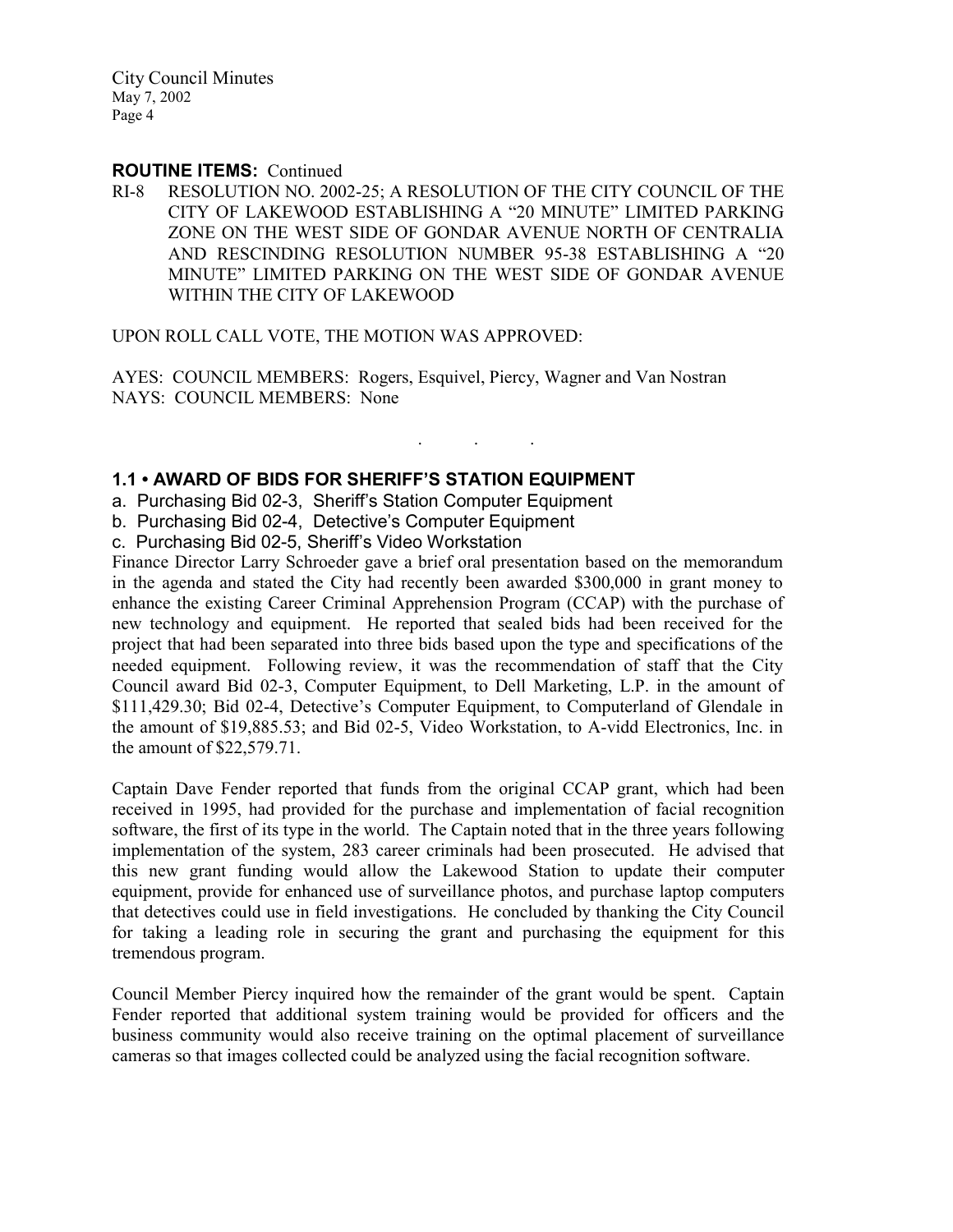#### ROUTINE ITEMS: Continued

RI-8 RESOLUTION NO. 2002-25; A RESOLUTION OF THE CITY COUNCIL OF THE CITY OF LAKEWOOD ESTABLISHING A "20 MINUTE" LIMITED PARKING ZONE ON THE WEST SIDE OF GONDAR AVENUE NORTH OF CENTRALIA AND RESCINDING RESOLUTION NUMBER 95-38 ESTABLISHING A "20 MINUTE" LIMITED PARKING ON THE WEST SIDE OF GONDAR AVENUE WITHIN THE CITY OF LAKEWOOD

UPON ROLL CALL VOTE, THE MOTION WAS APPROVED:

AYES: COUNCIL MEMBERS: Rogers, Esquivel, Piercy, Wagner and Van Nostran NAYS: COUNCIL MEMBERS: None

. . .

## 1.1 • AWARD OF BIDS FOR SHERIFF'S STATION EQUIPMENT

- a. Purchasing Bid 02-3, Sheriff's Station Computer Equipment
- b. Purchasing Bid 02-4, Detective's Computer Equipment
- c. Purchasing Bid 02-5, Sheriff's Video Workstation

Finance Director Larry Schroeder gave a brief oral presentation based on the memorandum in the agenda and stated the City had recently been awarded \$300,000 in grant money to enhance the existing Career Criminal Apprehension Program (CCAP) with the purchase of new technology and equipment. He reported that sealed bids had been received for the project that had been separated into three bids based upon the type and specifications of the needed equipment. Following review, it was the recommendation of staff that the City Council award Bid 02-3, Computer Equipment, to Dell Marketing, L.P. in the amount of \$111,429.30; Bid 02-4, Detective's Computer Equipment, to Computerland of Glendale in the amount of \$19,885.53; and Bid 02-5, Video Workstation, to A-vidd Electronics, Inc. in the amount of \$22,579.71.

Captain Dave Fender reported that funds from the original CCAP grant, which had been received in 1995, had provided for the purchase and implementation of facial recognition software, the first of its type in the world. The Captain noted that in the three years following implementation of the system, 283 career criminals had been prosecuted. He advised that this new grant funding would allow the Lakewood Station to update their computer equipment, provide for enhanced use of surveillance photos, and purchase laptop computers that detectives could use in field investigations. He concluded by thanking the City Council for taking a leading role in securing the grant and purchasing the equipment for this tremendous program.

Council Member Piercy inquired how the remainder of the grant would be spent. Captain Fender reported that additional system training would be provided for officers and the business community would also receive training on the optimal placement of surveillance cameras so that images collected could be analyzed using the facial recognition software.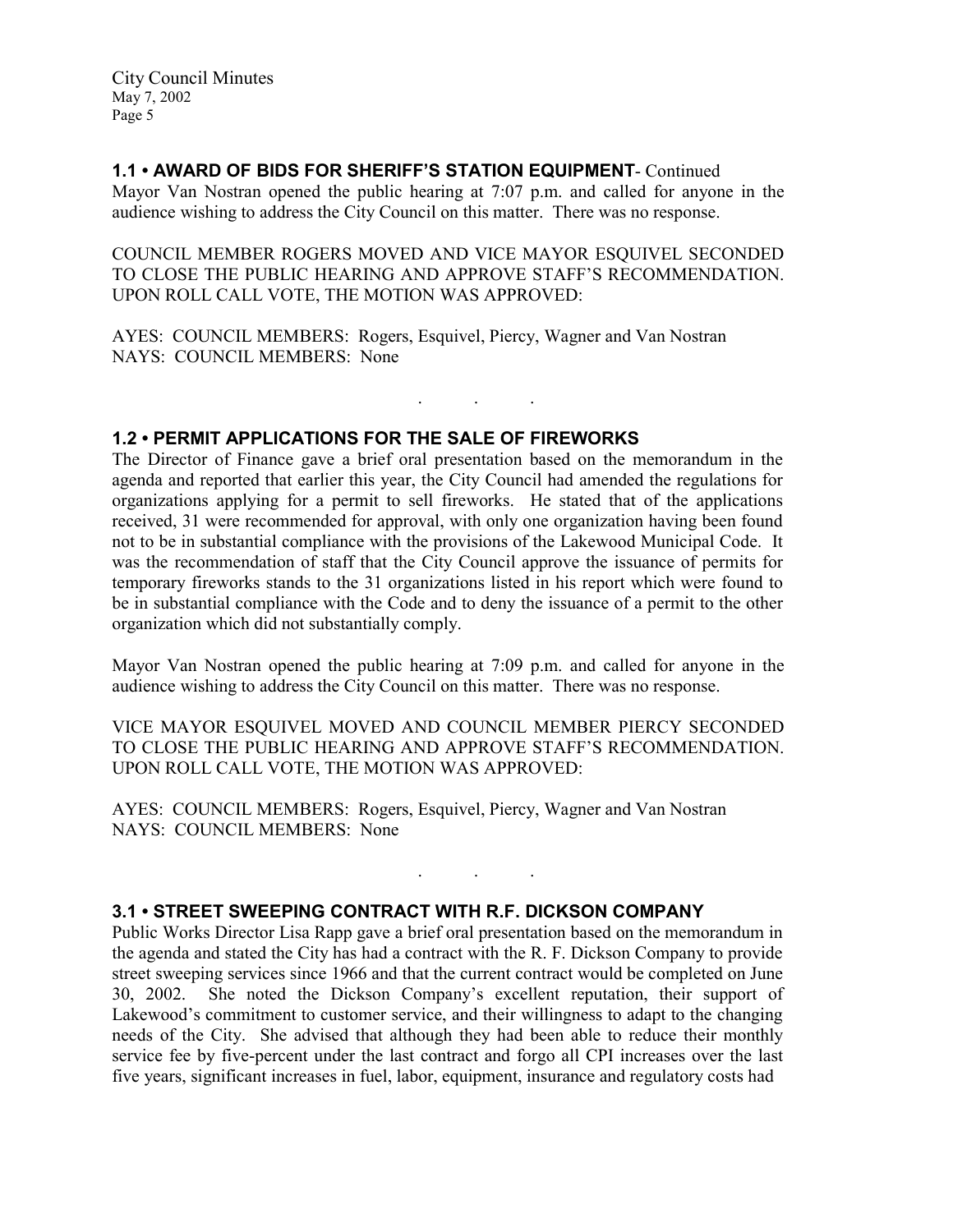## 1.1 • AWARD OF BIDS FOR SHERIFF'S STATION EQUIPMENT- Continued

Mayor Van Nostran opened the public hearing at 7:07 p.m. and called for anyone in the audience wishing to address the City Council on this matter. There was no response.

COUNCIL MEMBER ROGERS MOVED AND VICE MAYOR ESQUIVEL SECONDED TO CLOSE THE PUBLIC HEARING AND APPROVE STAFF'S RECOMMENDATION. UPON ROLL CALL VOTE, THE MOTION WAS APPROVED:

. . .

AYES: COUNCIL MEMBERS: Rogers, Esquivel, Piercy, Wagner and Van Nostran NAYS: COUNCIL MEMBERS: None

## 1.2 • PERMIT APPLICATIONS FOR THE SALE OF FIREWORKS

The Director of Finance gave a brief oral presentation based on the memorandum in the agenda and reported that earlier this year, the City Council had amended the regulations for organizations applying for a permit to sell fireworks. He stated that of the applications received, 31 were recommended for approval, with only one organization having been found not to be in substantial compliance with the provisions of the Lakewood Municipal Code. It was the recommendation of staff that the City Council approve the issuance of permits for temporary fireworks stands to the 31 organizations listed in his report which were found to be in substantial compliance with the Code and to deny the issuance of a permit to the other organization which did not substantially comply.

Mayor Van Nostran opened the public hearing at 7:09 p.m. and called for anyone in the audience wishing to address the City Council on this matter. There was no response.

VICE MAYOR ESQUIVEL MOVED AND COUNCIL MEMBER PIERCY SECONDED TO CLOSE THE PUBLIC HEARING AND APPROVE STAFF'S RECOMMENDATION. UPON ROLL CALL VOTE, THE MOTION WAS APPROVED:

. . .

AYES: COUNCIL MEMBERS: Rogers, Esquivel, Piercy, Wagner and Van Nostran NAYS: COUNCIL MEMBERS: None

## 3.1 • STREET SWEEPING CONTRACT WITH R.F. DICKSON COMPANY

Public Works Director Lisa Rapp gave a brief oral presentation based on the memorandum in the agenda and stated the City has had a contract with the R. F. Dickson Company to provide street sweeping services since 1966 and that the current contract would be completed on June 30, 2002. She noted the Dickson Company's excellent reputation, their support of Lakewood's commitment to customer service, and their willingness to adapt to the changing needs of the City. She advised that although they had been able to reduce their monthly service fee by five-percent under the last contract and forgo all CPI increases over the last five years, significant increases in fuel, labor, equipment, insurance and regulatory costs had